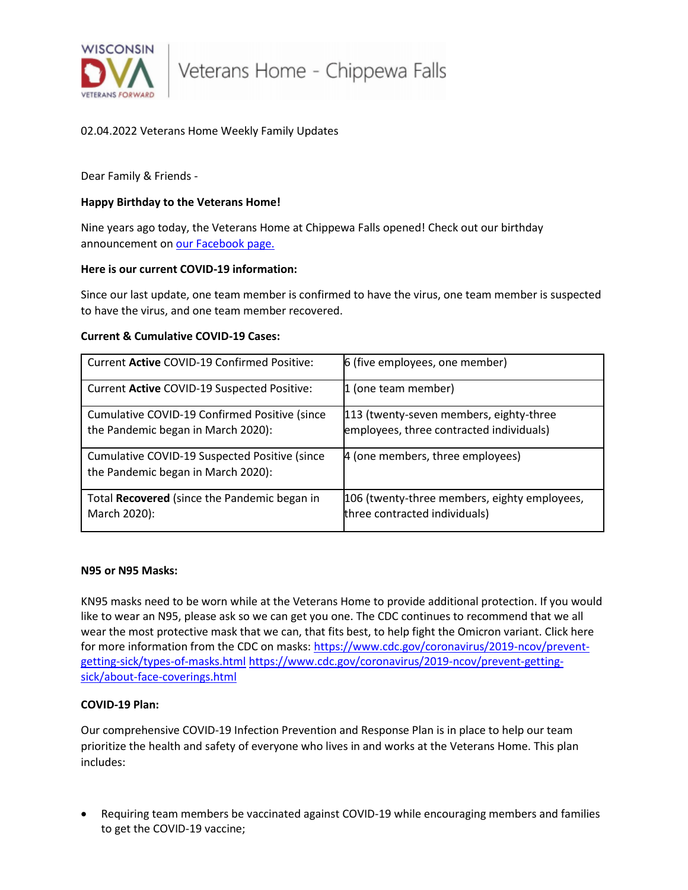

Veterans Home - Chippewa Falls

# 02.04.2022 Veterans Home Weekly Family Updates

Dear Family & Friends -

#### **Happy Birthday to the Veterans Home!**

Nine years ago today, the Veterans Home at Chippewa Falls opened! Check out our birthday announcement o[n our Facebook page.](https://www.facebook.com/WisVetsCF)

#### **Here is our current COVID-19 information:**

Since our last update, one team member is confirmed to have the virus, one team member is suspected to have the virus, and one team member recovered.

#### **Current & Cumulative COVID-19 Cases:**

| Current Active COVID-19 Confirmed Positive:                                         | 6 (five employees, one member)                                                      |
|-------------------------------------------------------------------------------------|-------------------------------------------------------------------------------------|
| Current Active COVID-19 Suspected Positive:                                         | 1 (one team member)                                                                 |
| Cumulative COVID-19 Confirmed Positive (since<br>the Pandemic began in March 2020): | 113 (twenty-seven members, eighty-three<br>employees, three contracted individuals) |
| Cumulative COVID-19 Suspected Positive (since<br>the Pandemic began in March 2020): | 4 (one members, three employees)                                                    |
| Total Recovered (since the Pandemic began in<br>March 2020):                        | 106 (twenty-three members, eighty employees,<br>three contracted individuals)       |

#### **N95 or N95 Masks:**

KN95 masks need to be worn while at the Veterans Home to provide additional protection. If you would like to wear an N95, please ask so we can get you one. The CDC continues to recommend that we all wear the most protective mask that we can, that fits best, to help fight the Omicron variant. Click here for more information from the CDC on masks: [https://www.cdc.gov/coronavirus/2019-ncov/prevent](https://www.cdc.gov/coronavirus/2019-ncov/prevent-getting-sick/types-of-masks.html)[getting-sick/types-of-masks.html](https://www.cdc.gov/coronavirus/2019-ncov/prevent-getting-sick/types-of-masks.html) [https://www.cdc.gov/coronavirus/2019-ncov/prevent-getting](https://www.cdc.gov/coronavirus/2019-ncov/prevent-getting-sick/about-face-coverings.html)[sick/about-face-coverings.html](https://www.cdc.gov/coronavirus/2019-ncov/prevent-getting-sick/about-face-coverings.html)

## **COVID-19 Plan:**

Our comprehensive COVID-19 Infection Prevention and Response Plan is in place to help our team prioritize the health and safety of everyone who lives in and works at the Veterans Home. This plan includes:

• Requiring team members be vaccinated against COVID-19 while encouraging members and families to get the COVID-19 vaccine;